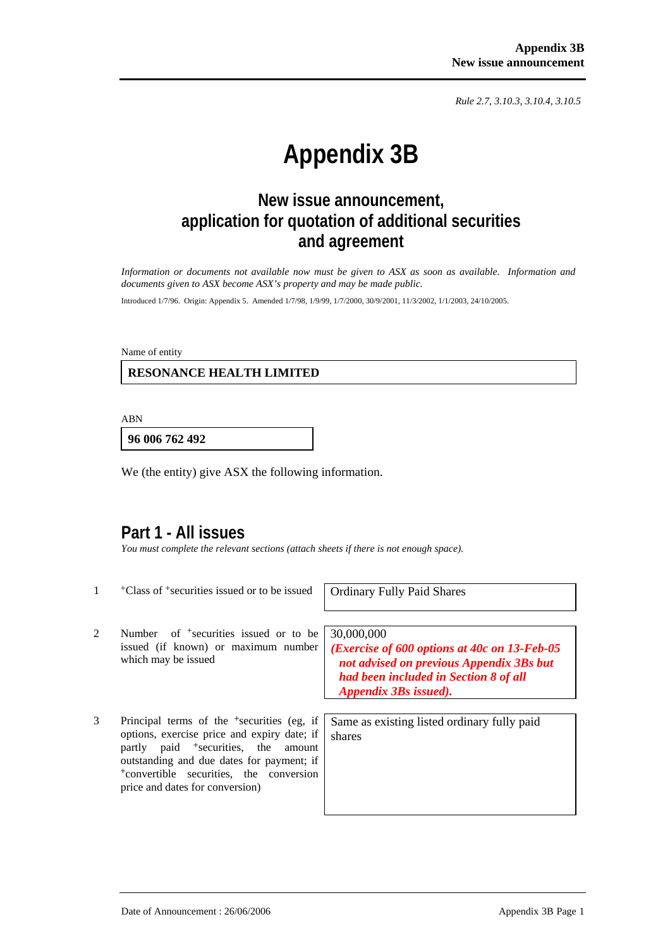*Rule 2.7, 3.10.3, 3.10.4, 3.10.5*

# **Appendix 3B**

# **New issue announcement, application for quotation of additional securities and agreement**

*Information or documents not available now must be given to ASX as soon as available. Information and documents given to ASX become ASX's property and may be made public.* 

Introduced 1/7/96. Origin: Appendix 5. Amended 1/7/98, 1/9/99, 1/7/2000, 30/9/2001, 11/3/2002, 1/1/2003, 24/10/2005.

Name of entity

#### **RESONANCE HEALTH LIMITED**

ABN

**96 006 762 492**

We (the entity) give ASX the following information.

### **Part 1 - All issues**

*You must complete the relevant sections (attach sheets if there is not enough space).* 

| 1 | <sup>+</sup> Class of <sup>+</sup> securities issued or to be issued                                                                                                                                                                                                                               | <b>Ordinary Fully Paid Shares</b>                                                                                                                                                  |
|---|----------------------------------------------------------------------------------------------------------------------------------------------------------------------------------------------------------------------------------------------------------------------------------------------------|------------------------------------------------------------------------------------------------------------------------------------------------------------------------------------|
| 2 | Number of <sup>+</sup> securities issued or to be<br>issued (if known) or maximum number<br>which may be issued                                                                                                                                                                                    | 30,000,000<br>( <i>Exercise of 600 options at 40c on 13-Feb-05</i> )<br>not advised on previous Appendix 3Bs but<br>had been included in Section 8 of all<br>Appendix 3Bs issued). |
| 3 | Principal terms of the <sup>+</sup> securities (eg, if<br>options, exercise price and expiry date; if<br>partly paid <sup>+</sup> securities, the<br>amount<br>outstanding and due dates for payment; if<br><sup>+</sup> convertible securities, the conversion<br>price and dates for conversion) | Same as existing listed ordinary fully paid<br>shares                                                                                                                              |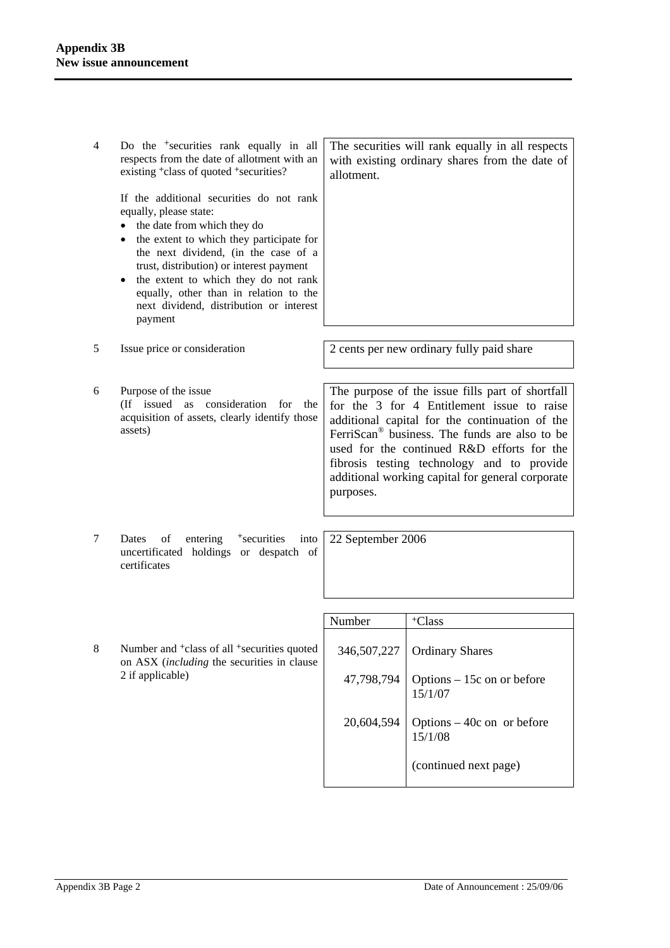4 Do the +securities rank equally in all respects from the date of allotment with an existing +class of quoted +securities? If the additional securities do not rank equally, please state: • the date from which they do • the extent to which they participate for the next dividend, (in the case of a trust, distribution) or interest payment • the extent to which they do not rank equally, other than in relation to the next dividend, distribution or interest payment The securities will rank equally in all respects with existing ordinary shares from the date of allotment. 5 Issue price or consideration 2 cents per new ordinary fully paid share 6 Purpose of the issue (If issued as consideration for the acquisition of assets, clearly identify those assets) The purpose of the issue fills part of shortfall for the 3 for 4 Entitlement issue to raise additional capital for the continuation of the FerriScan® business. The funds are also to be used for the continued R&D efforts for the fibrosis testing technology and to provide additional working capital for general corporate purposes. 7 Dates of entering <sup>+</sup>securities into uncertificated holdings or despatch of certificates 22 September 2006 Number | +Class 8 Number and +class of all +securities quoted on ASX (*including* the securities in clause 2 if applicable) 346,507,227 47,798,794 20,604,594 Ordinary Shares Options – 15c on or before 15/1/07 Options – 40c on or before 15/1/08

(continued next page)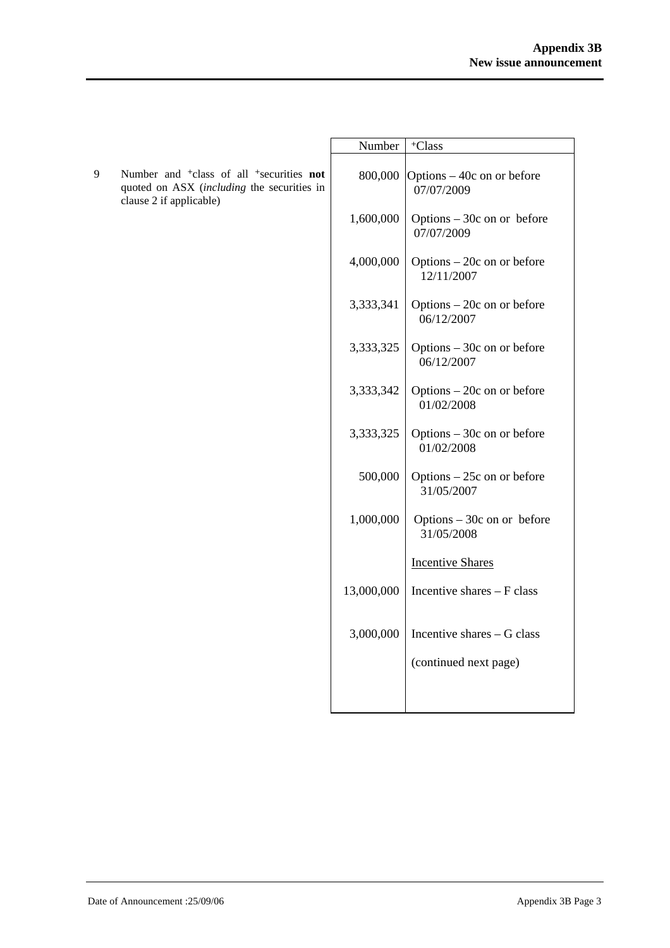|   |                                                                                                                                                  | Number     | <sup>+</sup> Class                        |
|---|--------------------------------------------------------------------------------------------------------------------------------------------------|------------|-------------------------------------------|
| 9 | Number and <sup>+</sup> class of all <sup>+</sup> securities <b>not</b><br>quoted on ASX (including the securities in<br>clause 2 if applicable) | 800,000    | Options – 40c on or before<br>07/07/2009  |
|   |                                                                                                                                                  | 1,600,000  | Options $-30c$ on or before<br>07/07/2009 |
|   |                                                                                                                                                  | 4,000,000  | Options - 20c on or before<br>12/11/2007  |
|   |                                                                                                                                                  | 3,333,341  | Options $-20c$ on or before<br>06/12/2007 |
|   |                                                                                                                                                  | 3,333,325  | Options $-30c$ on or before<br>06/12/2007 |
|   |                                                                                                                                                  | 3,333,342  | Options $-20c$ on or before<br>01/02/2008 |
|   |                                                                                                                                                  | 3,333,325  | Options $-30c$ on or before<br>01/02/2008 |
|   |                                                                                                                                                  | 500,000    | Options $-25c$ on or before<br>31/05/2007 |
|   |                                                                                                                                                  | 1,000,000  | Options $-30c$ on or before<br>31/05/2008 |
|   |                                                                                                                                                  |            | <b>Incentive Shares</b>                   |
|   |                                                                                                                                                  | 13,000,000 | Incentive shares - F class                |
|   |                                                                                                                                                  | 3,000,000  | Incentive shares - G class                |
|   |                                                                                                                                                  |            | (continued next page)                     |
|   |                                                                                                                                                  |            |                                           |
|   |                                                                                                                                                  |            |                                           |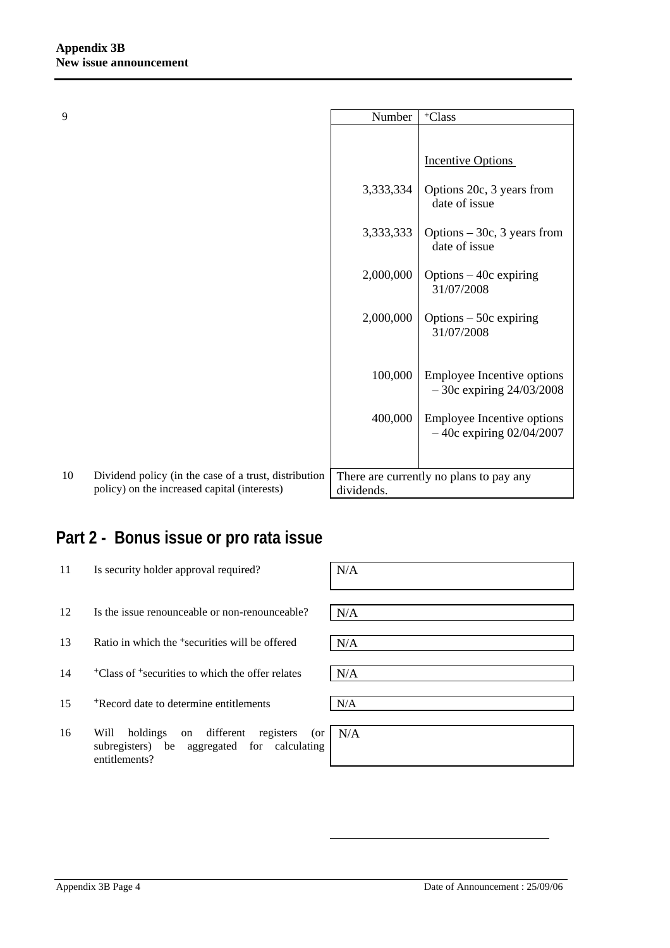| 9  |                                                                                                       | Number     | <sup>+</sup> Class                                         |
|----|-------------------------------------------------------------------------------------------------------|------------|------------------------------------------------------------|
|    |                                                                                                       |            |                                                            |
|    |                                                                                                       |            | <b>Incentive Options</b>                                   |
|    |                                                                                                       | 3,333,334  | Options 20c, 3 years from<br>date of issue                 |
|    |                                                                                                       | 3,333,333  | Options $-30c$ , 3 years from<br>date of issue             |
|    |                                                                                                       | 2,000,000  | Options $-40c$ expiring<br>31/07/2008                      |
|    |                                                                                                       | 2,000,000  | Options $-50c$ expiring<br>31/07/2008                      |
|    |                                                                                                       |            |                                                            |
|    |                                                                                                       | 100,000    | Employee Incentive options<br>$-30c$ expiring $24/03/2008$ |
|    |                                                                                                       | 400,000    | Employee Incentive options<br>$-40c$ expiring 02/04/2007   |
|    |                                                                                                       |            |                                                            |
| 10 | Dividend policy (in the case of a trust, distribution<br>policy) on the increased capital (interests) | dividends. | There are currently no plans to pay any                    |

# **Part 2 - Bonus issue or pro rata issue**

| 11 | Is security holder approval required?                                                                                   | N/A |
|----|-------------------------------------------------------------------------------------------------------------------------|-----|
| 12 | Is the issue renounceable or non-renounceable?                                                                          | N/A |
| 13 | Ratio in which the <sup>+</sup> securities will be offered                                                              | N/A |
| 14 | <sup>+</sup> Class of <sup>+</sup> securities to which the offer relates                                                | N/A |
| 15 | <sup>+</sup> Record date to determine entitlements                                                                      | N/A |
| 16 | different<br>Will<br>holdings<br>registers<br>(or<br>on<br>subregisters) be aggregated for calculating<br>entitlements? | N/A |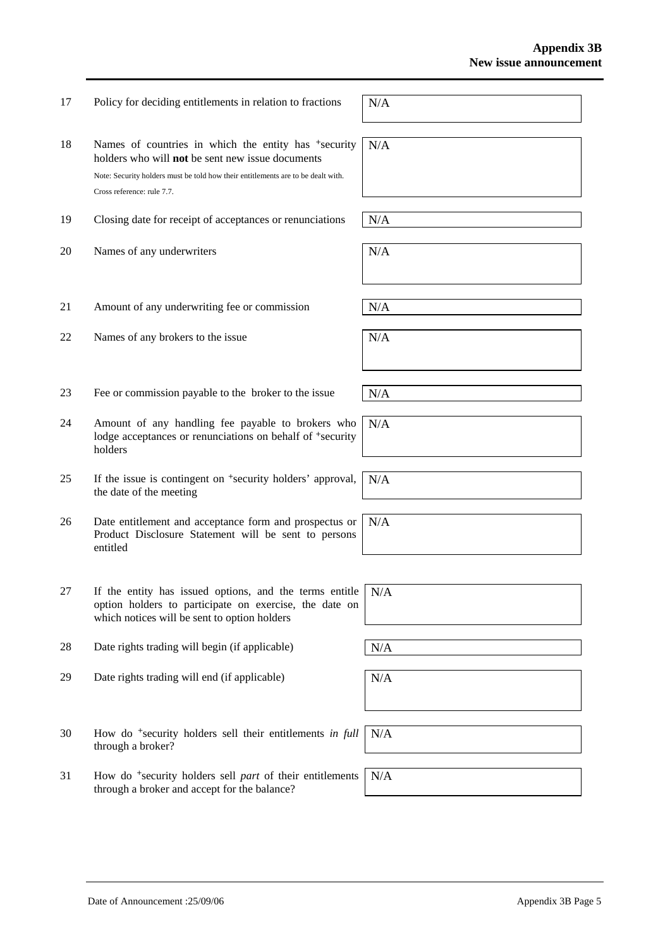18 Names of countries in which the entity has <sup>+</sup>security holders who will **not** be sent new issue documents Note: Security holders must be told how their entitlements are to be dealt with. Cross reference: rule 7.7. N/A 19 Closing date for receipt of acceptances or renunciations  $N/A$ 20 Names of any underwriters  $N/A$ 

- 21 Amount of any underwriting fee or commission  $N/A$
- 22 Names of any brokers to the issue  $N/A$
- 23 Fee or commission payable to the broker to the issue  $N/A$
- 24 Amount of any handling fee payable to brokers who lodge acceptances or renunciations on behalf of <sup>+</sup>security holders
- 25 If the issue is contingent on +security holders' approval, the date of the meeting
- 26 Date entitlement and acceptance form and prospectus or Product Disclosure Statement will be sent to persons entitled
- 27 If the entity has issued options, and the terms entitle option holders to participate on exercise, the date on which notices will be sent to option holders
- 28 Date rights trading will begin (if applicable)  $N/A$
- 29 Date rights trading will end (if applicable)  $N/A$
- 30 How do +security holders sell their entitlements *in full* through a broker? N/A
- 31 How do +security holders sell *part* of their entitlements through a broker and accept for the balance? N/A

17 Policy for deciding entitlements in relation to fractions  $N/A$ 

N/A

N/A

N/A

N/A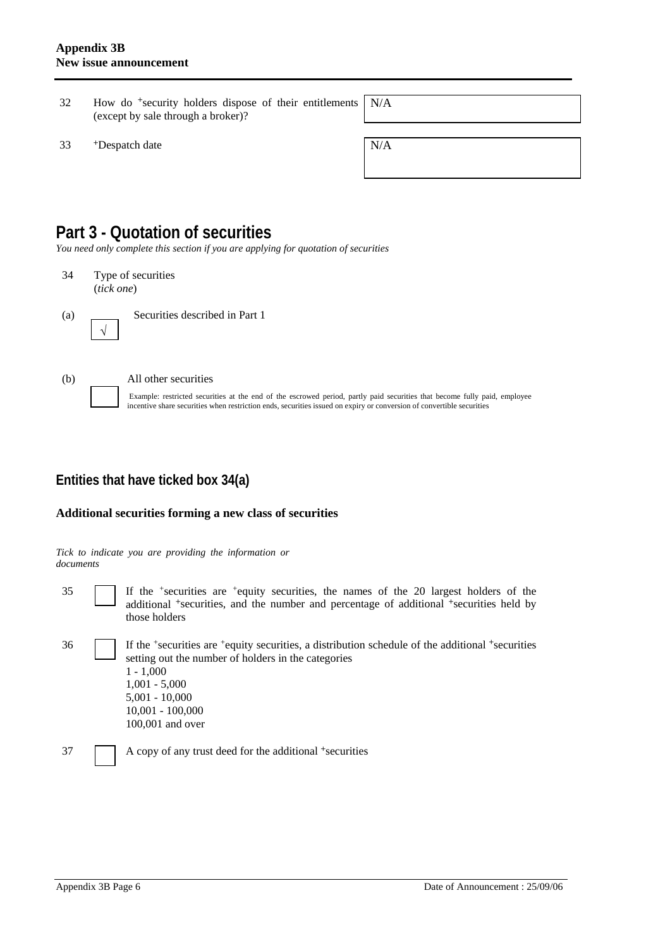- 32 How do +security holders dispose of their entitlements (except by sale through a broker)? N/A
- $33$  +Despatch date  $N/A$

## **Part 3 - Quotation of securities**

*You need only complete this section if you are applying for quotation of securities* 

34 Type of securities (*tick one*)



(a) Securities described in Part 1



√

#### (b) All other securities

Example: restricted securities at the end of the escrowed period, partly paid securities that become fully paid, employee incentive share securities when restriction ends, securities issued on expiry or conversion of convertible securities

### **Entities that have ticked box 34(a)**

#### **Additional securities forming a new class of securities**

*Tick to indicate you are providing the information or documents*

35 If the +securities are +equity securities, the names of the 20 largest holders of the additional <sup>+</sup>securities, and the number and percentage of additional <sup>+</sup>securities held by those holders

36 If the +securities are +equity securities, a distribution schedule of the additional +securities setting out the number of holders in the categories  $1 - 1,000$ 1,001 - 5,000 5,001 - 10,000 10,001 - 100,000 100,001 and over

37 A copy of any trust deed for the additional +securities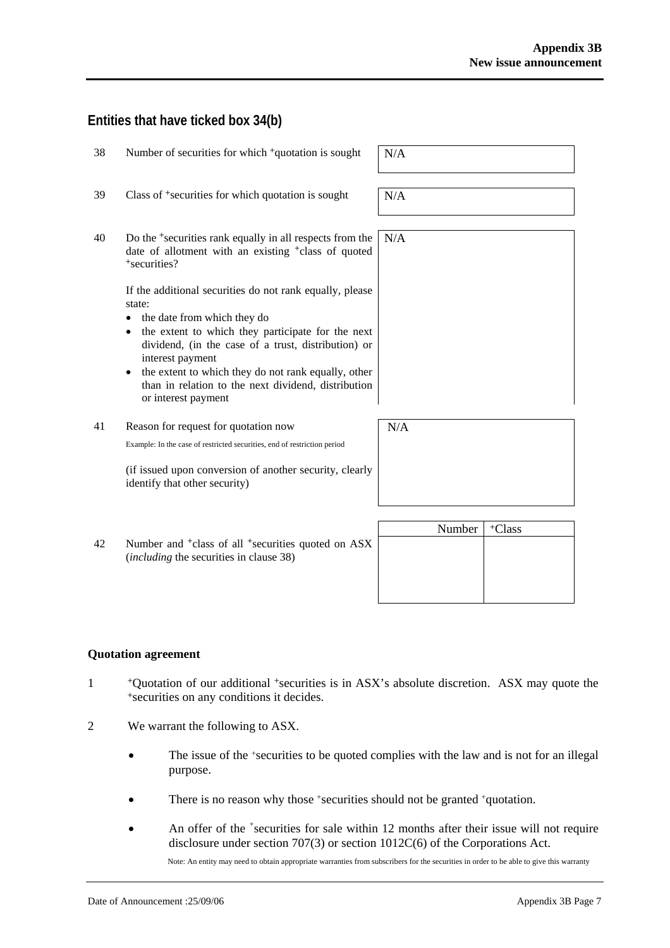### **Entities that have ticked box 34(b)**

| 38 | Number of securities for which <sup>+</sup> quotation is sought                                                                                                                                                                                                                                                                                                                     | N/A    |
|----|-------------------------------------------------------------------------------------------------------------------------------------------------------------------------------------------------------------------------------------------------------------------------------------------------------------------------------------------------------------------------------------|--------|
| 39 | Class of <sup>+</sup> securities for which quotation is sought                                                                                                                                                                                                                                                                                                                      | N/A    |
| 40 | Do the <sup>+</sup> securities rank equally in all respects from the<br>date of allotment with an existing <sup>+</sup> class of quoted<br><sup>+</sup> securities?                                                                                                                                                                                                                 | N/A    |
|    | If the additional securities do not rank equally, please<br>state:<br>the date from which they do<br>the extent to which they participate for the next<br>$\bullet$<br>dividend, (in the case of a trust, distribution) or<br>interest payment<br>the extent to which they do not rank equally, other<br>than in relation to the next dividend, distribution<br>or interest payment |        |
| 41 | Reason for request for quotation now                                                                                                                                                                                                                                                                                                                                                | N/A    |
|    | Example: In the case of restricted securities, end of restriction period                                                                                                                                                                                                                                                                                                            |        |
|    | (if issued upon conversion of another security, clearly<br>identify that other security)                                                                                                                                                                                                                                                                                            |        |
|    |                                                                                                                                                                                                                                                                                                                                                                                     | $\sim$ |

Number | <sup>+</sup>Class 42 Number and <sup>+</sup>class of all <sup>+</sup>securities quoted on ASX (*including* the securities in clause 38)

#### **Quotation agreement**

- <sup>+</sup>Quotation of our additional <sup>+</sup>securities is in ASX's absolute discretion. ASX may quote the <sup>+</sup>securities on any conditions it decides.
- 2 We warrant the following to ASX.
	- The issue of the +securities to be quoted complies with the law and is not for an illegal purpose.
	- There is no reason why those +securities should not be granted +quotation.
	- An offer of the <sup>+</sup>securities for sale within 12 months after their issue will not require disclosure under section 707(3) or section 1012C(6) of the Corporations Act.

Note: An entity may need to obtain appropriate warranties from subscribers for the securities in order to be able to give this warranty